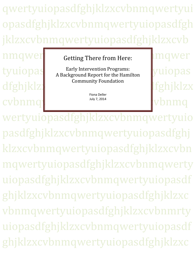qwertyuiopasdfghjklzxcvbnmqwertyui opasdfghjklzxcvbnmqwertyuiopasdfgh jklzxcvbnmqwertyuiopasdfghjklzxcvb

dfghjklzx cvbnmqwertyuingthe cybnmq

# nmqwer Getting There from Here: 1mqwer

tyuiopas a Early Intervention Programs:<br>A Background Report for the Hamilton Multopas Early Intervention Programs: Community Foundation

> Fiona Deller July 7, 2014

wertyuiopasdfghjklzxcvbnmqwertyuio pasdfghjklzxcvbnmqwertyuiopasdfghj klzxcvbnmqwertyuiopasdfghjklzxcvbn mqwertyuiopasdfghjklzxcvbnmqwerty uiopasdfghjklzxcvbnmqwertyuiopasdf ghjklzxcvbnmqwertyuiopasdfghjklzxc vbnmqwertyuiopasdfghjklzxcvbnmrty uiopasdfghjklzxcvbnmqwertyuiopasdf ghjklzxcvbnmqwertyuiopasdfghjklzxc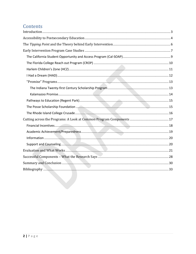### Contents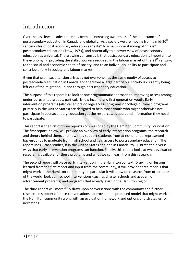### <span id="page-2-0"></span>Introduction

Over the last few decades there has been an increasing awareness of the importance of postsecondary education in Canada and globally. As a society we are moving from a mid-20<sup>th</sup> century idea of postsecondary education as "elite" to a new understanding of "mass" postsecondary education (Trow, 1973), and potentially to a newer view of postsecondary education as universal. The growing consensus is that postsecondary education is important to the economy, in providing the skilled workers required in the labour market of the  $21<sup>st</sup>$  century, to the social and economic health of society, and to an individuals' ability to participate and contribute fully in society and labour market.

Given that premise, a tension arises as not everyone has the same equity of access to postsecondary education in Canada and therefore a large part of our society is currently being left out of the migration up and through postsecondary education.

The purpose of this report is to look at one programmatic approach to improving access among underrepresented groups, particularly low income and first generation youth. Early intervention programs (also called pre-college access programs or college outreach programs, primarily in the United States) are designed to help those youth who might otherwise not participate in postsecondary education get the resources, support and information they need to participate.

This report is the first of three reports commissioned by the Hamilton Community Foundation. The first report, below, will provide an overview of early intervention programs, the research and theory behind them, and how they support students from at risk or underrepresented backgrounds to graduate from high school and gain access to postsecondary education. The report uses 9 case studies, 8 in the United States and one in Canada, to illustrate the diverse ways that early intervention programs can function. Finally, this report looks at what evaluation research is available for these programs and what we can learn from this research.

The second report will place early intervention in the Hamilton context. Drawing on lessons learned from the first report and input from the community, it will provide three models that might work in the Hamilton community. In particular it will draw on research from other parts of the world, look at in-school interventions (such as charter schools and academic advancement programs) and programs that already exist in the Hamilton region.

The third report will more fully draw upon conversations with the community and further research in support of those conversations, to provide one proposed model that might work in the Hamilton community along with an evaluation framework and options and strategies for next steps.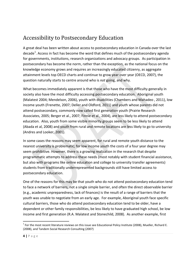# <span id="page-3-0"></span>Accessibility to Postsecondary Education

A great deal has been written about access to postsecondary education in Canada over the last decade<sup>[1](#page-3-1)</sup>. Access in fact has become the word that defines much of the postsecondary agenda for governments, institutions, research organizations and advocacy groups. As participation in postsecondary has become the norm, rather than the exception, as the national focus on the knowledge economy grows and requires an increasingly educated citizenry, as aggregate attainment levels top OECD charts and continue to grow year over year (OECD, 2007), the question naturally starts to centre around who is *not* going, and why.

What becomes immediately apparent is that those who have the most difficulty generally in society also have the most difficulty accessing postsecondary education. Aboriginal youth (Malatest 2004; Mendelson, 2006), youth with disabilities (Chambers and Mahadeo , 2011), low income youth (Frenette, 2007; Deller and Oldford, 2011) and youth whose parents did not attend postsecondary, commonly now called first generation youth (Prairie Research Associates, 2005; Berger et al., 2007; Finnie et al., 2004), are less likely to attend postsecondary education. Also, youth from some visible minority groups seem to be less likely to attend (Abada et al, 2008) and youth from rural and remote locations are less likely to go to university (Andres and Looker, 2001).

In some cases the reasons may seem apparent, for rural and remote youth distance to the nearest university is problematic; for low income youth the costs of a four year degree may seem prohibitive. However, there is a growing realization in the research that despite programmatic attempts to address these needs (most notably with student financial assistance, but also with programs like online education and college to university transfer agreements) students from traditionally underrepresented backgrounds still have limited access to postsecondary education.

One of the reasons for this may be that youth who do not attend postsecondary education tend to face a network of barriers, not a single simple barrier, and often the direct observable barrier (e.g., academic unpreparedness, lack of finances) is the result of a range of barriers that the youth was unable to negotiate from an early age. For example, Aboriginal youth face specific cultural barriers, those who do attend postsecondary education tend to be older, have a dependent or other family responsibilities, be less likely to have graduated high school, be low income and first generation (R.A. Malatest and Stonechild, 2008). As another example, first

<span id="page-3-1"></span> $1$  For the most recent literature reviews on this issue see Educational Policy Institute (2008), Mueller, Richard E. (2008), and Tandem Social Research Consulting (2007)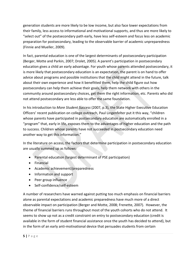generation students are more likely to be low income, but also face lower expectations from their family, less access to informational and motivational supports, and thus are more likely to "select out" of the postsecondary path early, have less self-esteem and focus less on academic preparation for postsecondary, leading to the observable barrier of academic unpreparedness (Finnie and Mueller, 2009).

In fact, parental education is one of the largest determinants of postsecondary participation (Berger, Motte and Parkin, 2007; Drolet, 2005). A parent's participation in postsecondary education gives a child an early advantage. For youth whose parents attended postsecondary, it is more likely that postsecondary education is an expectation, the parent is on hand to offer advice about programs and possible institutions that the child might attend in the future, talk about their own experience and how it benefitted them, help the child figure out how postsecondary can help them achieve their goals, help them network with others in the community around postsecondary choices, get them the right information, etc. Parents who did not attend postsecondary are less able to offer the same foundation.

In his introduction to *More Student Success* (2007, p.3), the State Higher Executive Education Officers' recent publication on college outreach, Paul Lingenfelter put it this way, "children whose parents have participated in postsecondary education are automatically enrolled in a "program" that, early in life, exposes them to the advantages of higher education and the path to success. Children whose parents have not succeeded in postsecondary education need another way to get this information."

In the literature on access, the factors that determine participation in postsecondary education are usually summed up as follows:

- Parental education (largest determinant of PSE participation)
- Financial
- Academic achievement/preparedness
- Information and support
- Peer group influence
- Self-confidence/self-esteem

A number of researchers have warned against putting too much emphasis on financial barriers alone as parental expectations and academic preparedness have much more of a direct observable impact on participation (Berger and Motte, 2008; Frenette, 2007). However, the theme of financial barriers runs throughout most of the youth cohorts who do not attend. It seems to show up not as a credit constraint on entry to postsecondary education (credit is available in the form of student financial assistance once the youth has decided to attend), but in the form of an early anti-motivational device that persuades students from certain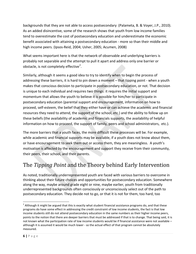backgrounds that they are not able to access postsecondary (Palameta, B. & Voyer, J.P., 2010). As an added disincentive, some of the research shows that youth from low income families tend to overestimate the cost of postsecondary education and underestimate the economic benefit associated with attaining a postsecondary education - more so than their middle and high income peers. (Ipsos-Reid, 2004; Usher, 2005; Acumen, 2008)

What seems important here is that the network of observable and underlying barriers is probably not separable and the attempt to pull it apart and address only one barrier or obstacle, is not completely effective<sup>[2](#page-5-1)</sup>.

Similarly, although it seems a good idea to try to identify when to begin the process of addressing these barriers, it is hard to pin down a moment – that tipping point - when a youth makes that conscious decision to participate in postsecondary education, or not. That decision is unique to each individual and requires two things: it requires the initial support and momentum that allows the youth to believe it is possible for him/her to participate in postsecondary education (parental support and encouragement, information on how to proceed, self-esteem, the belief that they either have or can achieve the academic and financial resources they need to attend, the support of the school, etc.) and the ability to follow up on these beliefs (the availability of academic and financials supports, the availability of helpful information on how to proceed, the support of family, peers and school administrators, etc.).

The more barriers that a youth faces, the more difficult these processes will be. For example, while academic and financial supports may be available, if a youth does not know about them, or have encouragement to seek them out or access them, they are meaningless. A youth's motivation is affected by the encouragement and support they receive from their community, their peers, their school, and their parents.

# <span id="page-5-0"></span>The *Tipping Point* and the Theory behind Early Intervention

As noted, traditionally underrepresented youth are faced with various barriers to overcome in thinking about their future choices and opportunities for postsecondary education. Somewhere along the way, maybe around grade eight or nine, maybe earlier, youth from traditionally underrepresented backgrounds often consciously or unconsciously select out of the path to postsecondary education. They decide not to go, or that it is not for them, too hard, too

<span id="page-5-1"></span> $2$  Although it might be argued that this is exactly what student financial assistance programs do, and that these programs do have some effect in addressing the credit constraint of low income students, the fact is that low income students still do not attend postsecondary education in the same numbers as their higher income peers, points to the notion that there are deeper barriers that must be addressed if that is to change. That being said, it is not known what the participation rate of low income students would be if financial assistance were not available – although it is assumed it would be much lower - so the actual effect of that program cannot be absolutely measured.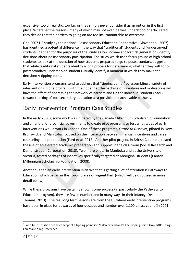expensive, too unrealistic, too far, or they simply never consider it as an option in the first place. Whatever the reasons, many of which may not even be well understood or articulated, they decide that the barriers to going on are too insurmountable to overcome.

One 2007 US study by the National Postsecondary Education Cooperative (Glover et al, 2007) has identified a potential difference in the way that "traditional" students and "underserved" students (defined for the purposes of the study as low income and/or first generation) identify decisions about postsecondary participation. The study which used focus groups of high school students to look at the question of how students prepared to go to postsecondary, suggests that while traditional students identify a long process for determining whether they will go to postsecondary, underserved students usually identify a moment in which they make the decision: A tipping point.

Early intervention programs tend to address that "tipping point"<sup>[3](#page-6-1)</sup> by assembling a variety of interventions in one program with the hope that the package of incentives and motivations will have the effect of addressing the network of barriers and tip the individual student (back) toward thinking of postsecondary education as a possible and achievable pathway.

# <span id="page-6-0"></span>Early Intervention Program Case Studies

In the early 2000s, some work was initiated by the Canada Millennium Scholarship Foundation and a handful of provincial governments to create pilot programs to test what types of early interventions would work in Canada. One of these programs, *Future to Discover*, piloted in New Brunswick and Manitoba, focused on the interaction between financial incentives and career counseling and preparation (Ford et al, 2012). Another pilot project, in British Columbia, tested the use of accelerated academic preparation and support in the classroom (Social Research and Demonstration Corporation, 2010). Two more pilots, in Manitoba and at the University of Victoria, tested packages of incentives specifically targeted at Aboriginal students (Canada Millennium Scholarship Foundation, 2008).

Another Canadian early intervention initiative that is getting a lot of attention is Pathways to Education which began in the Toronto area of Regent Park (which will be discussed in more detail below).

While these programs have certainly shown some success (in particularly the Pathways to Education program), they are few in number and in many ways in their infancy (Deller and Thomas, 2013). The real long term lessons are from the US where early intervention programs have been in place for upwards of four decades and number over 1,100 at last count (in 2001).

<span id="page-6-1"></span> $3$  For a full discussion of the concept of a tipping point see Malcolm Gladwell's The Tipping Point: How Little Things Can Make a Big Difference.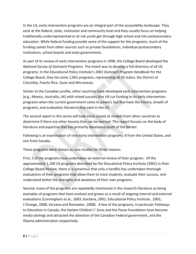In the US, early intervention programs are an integral part of the accessibility landscape. They exist at the federal, state, institution and community level and they usually focus on helping traditionally underrepresented or at risk youth get through high school and into postsecondary education. While federal funding provide some of the support for the programs, much of the funding comes from other sources such as private foundations, individual postsecondary institutions, school boards and state governments.

As part of its review of early intervention programs in 1999, the College Board developed the *National Survey of Outreach Programs*. The intent was to develop a full directory of all US programs. In the Educational Policy Institute's 2001 *Outreach Program Handbook* for the College Board, they list some 1,091 programs, representing all 50 states, the District of Columbia, Puerto Rico, Guan and Micronesia.

Similar to the Canadian profile, other countries have developed early intervention programs (e.g., Mexico, Australia, UK) with mixed success (the UK cut funding to its early intervention programs when the current government came to power), but few have the history, breath of programs, and evaluation literature that exist in the US.

The second report in this series will look more closely at models from other countries to determine if there are other lessons that can be learned. This report focuses on the body of literature and expertise that has primarily developed south of the border.

Following is an examination of nine early intervention programs; 8 from the United States, and one from Canada.

These programs were chosen as case studies for three reasons.

First, 5 of the programs have undertaken an external review of their program. Of the approximately 1,100 US programs described by the Educational Policy Institute (2001) in their College Board Review, there is a consensus that only a handful has undertaken thorough evaluations of their programs that allow them to track students, evaluate their success, and understand better the strengths and weakness of their own programs.

Second, many of the programs are repeatedly mentioned in the research literature as being examples of programs that have evolved and grown as a result of ongoing internal and external evaluations (Cunningham et al., 2003; Gardana, 2001; Educational Policy Institute , 2001; L'Orange, 2008; Verzana and Rainwater, 2008). A few of the programs, in particular Pathways to Education in Canada, the Harlem Children's' Zone and the Posse Foundation have become media darlings and attracted the attention of the Canadian Federal government, and the Obama administration respectively.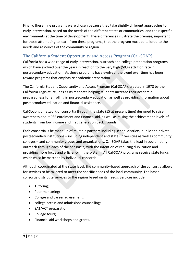Finally, these nine programs were chosen because they take slightly different approaches to early intervention, based on the needs of the different states or communities, and their specific environments at the time of development. These differences illustrate the premise, important for those attempting to learn from these programs, that the program must be tailored to the needs and resources of the community or region.

#### <span id="page-8-0"></span>The California Student Opportunity and Access Program (Cal-SOAP)

California has a wide range of early intervention, outreach and college preparation programs which have evolved over the years in reaction to the very high (50%) attrition rate in postsecondary education. As these programs have evolved, the trend over time has been toward programs that emphasize academic preparation.

The California Student Opportunity and Access Program (Cal-SOAP), created in 1978 by the California Legislature, has as its mandate helping students increase their academic preparedness for enrolling in postsecondary education as well as providing information about postsecondary education and financial assistance.

Cal-Soap is a network of consortia through the state (15 at present time) designed to raise awareness about PSE enrolment and financial aid, as well as raising the achievement levels of students from low income and first generation backgrounds.

Each consortia is be made up of multiple partners including school districts, public and private postsecondary institutions – including independent and state universities as well as community colleges – and community groups and organizations. Cal-SOAP takes the lead in coordinating outreach through each of the consortia, with the intention of reducing duplication and providing more focus and efficiency in the system. All Cal-SOAP programs receive state funds which must be matched by individual consortia.

Although coordinated at the state level, the community-based approach of the consortia allows for services to be tailored to meet the specific needs of the local community. The based consortia distribute services to the region based on its needs. Services include:

- Tutoring;
- Peer mentoring;
- College and career advisement;
- college access and admissions counselling;
- SAT/ACT preparation;
- College tours;
- Financial aid workshops and grants.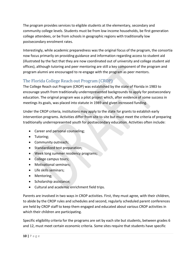The program provides services to eligible students at the elementary, secondary and community college levels. Students must be from low income households, be first generation college attendees, or be from schools in geographic regions with traditionally low postsecondary enrolment rates.

Interestingly, while academic preparedness was the original focus of the program, the consortia now focus primarily on providing guidance and information regarding access to student aid (illustrated by the fact that they are now coordinated out of university and college student aid offices), although tutoring and peer mentoring are still a key component of the program and program alumni are encouraged to re-engage with the program as peer mentors.

#### <span id="page-9-0"></span>The Florida College Reach out Program (CROP)

The College Reach out Program (CROP) was established by the state of Florida in 1983 to encourage youth from traditionally underrepresented backgrounds to apply for postsecondary education. The original program was a pilot project which, after evidence of some success in meetings its goals, was placed into statute in 1989 and given increased funding.

Under the CROP criteria, institutions may apply to the state for grants to establish early intervention programs. Activities differ from site to site but must meet the criteria of preparing traditionally underrepresented youth for postsecondary education. Activities often include:

- Career and personal counseling;
- Tutoring;
- Community outreach;
- Standardized test preparation;
- Week long summer residency programs;
- College campus tours;
- Motivational seminars;
- Life skills seminars;
- Mentoring;
- Scholarship assistance;
- Cultural and academic enrichment field trips.

Parents are involved in two ways in CROP activities. First, they must agree, with their children, to abide by the CROP rules and schedules and second, regularly scheduled parent conferences are held by CROP staff to keep them engaged and educated about various CROP activities in which their children are participating.

Specific eligibility criteria for the programs are set by each site but students, between grades 6 and 12, must meet certain economic criteria. Some sites require that students have specific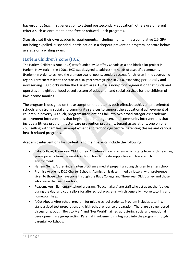backgrounds (e.g., first generation to attend postsecondary education), others use different criteria such as enrolment in the free or reduced lunch programs.

Sites also set their own academic requirements, including maintaining a cumulative 2.5 GPA, not being expelled, suspended, participation in a dropout prevention program, or score below average on a writing exam.

#### <span id="page-10-0"></span>Harlem Children's Zone (HCZ)

The Harlem Children's Zone (HCZ) was founded by Geoffrey Canada as a one-block pilot project in Harlem, New York in the 1990s. HCZ was designed to address the needs of a specific community (Harlem) in order to achieve the ultimate goal of post-secondary success for children in the geographic region. Early success led to the start of a 10-year strategic plan in 2000, expanding periodically and now serving 100 blocks within the Harlem area. HCZ is a non-profit organization that funds and operates a neightbourhood based system of education and social services for the children of low income families.

The program is designed on the assumption that it takes both effective achievement-oriented schools and strong social and community services to support the educational achievement of children in poverty. As such, program interventions fall into two broad categories: academic achievement interventions that begin in pre-kindergarten, and community interventions that include a fitness program, foster care prevention programs, tenant associations, one on one counselling with families, an employment and technology centre, parenting classes and various health related programs.

Academic interventions for students and their parents include the following:

- Baby College, Three Year Old Journey: An intervention program which starts from birth, teaching young parents from the neighbourhood how to create supportive and literacy rich environments.
- Harlem Gems: A pre-kindergarten program aimed at preparing young children to enter school.
- Promise Academy K-12 Charter Schools: Admission is determined by lottery, with preference given to those who have gone through the Baby College and Three Year Old Journey and those who live in the neighbourhood.
- Peacemakers: Elementary school program. "Peacemakers" are staff who act as teacher's aides during the day, and counsellors for after school programs, which generally involve tutoring and homework help.
- A Cut Above: After school program for middle school students. Program includes tutoring, standardized test preparation, and high school entrance preparation. There are also gendered discussion groups ("Boys to Men" and "Her World") aimed at fostering social and emotional development in a group setting. Parental involvement is integrated into the program through parental workshops.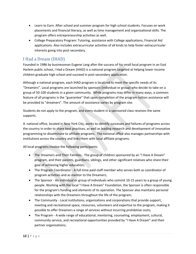- Learn to Earn: After school and summer program for high school students. Focuses on work placements and financial literacy, as well as time management and organizational skills. The program offers entrepreneurship activities as well.
- College Preparatory Program: Tutoring, assistance with College applications, Financial Aid applications. Also includes extracurricular activities of all kinds to help foster extracurricular interests going into post-secondary.

#### <span id="page-11-0"></span>I Had a Dream (IHAD)

Founded in 1986 by businessman Eugene Lang after the success of his small local program in an East Harlem public school, I Had a Dream (IHAD) is a national program targeted at helping lower income children graduate high school and succeed in post-secondary application.

Although a national program, each IHAD program is localized to meet the specific needs of its "Dreamers". Local programs are launched by sponsors (individual or group) who decide to take on a group of 50-100 students in a given community. While programs may differ in many ways, a common feature of all programs is the "guarantee" that upon completion of the program tuition assistance will be provided to "dreamers". The amount of assistance varies by program site.

Students do not apply to the program, and every student in a sponsored class receives the same supports.

A national office, located in New York City, works to identify successes and failures of programs across the country in order to share best practices, as well as leading research and development of innovative programming to disseminate to affiliate programs. The national office also manages partnerships with institutions across the country and links them with local affiliate programs.

All local programs involve the following participants:

- The Dreamers and Their Families The group of children sponsored by an "I Have A Dream" program, and their parents, guardians, siblings, and other significant relatives who share their goal of achieving higher education;
- The Program Coordinator A full-time paid staff member who serves both as coordinator of program activities and as mentor to the Dreamers;
- The Sponsor An individual or group of individuals who commit 10-15 years to a group of young people. Working with the local "I Have A Dream" Foundation, the Sponsor is often responsible for the program's funding and elements of its operation. The Sponsor also maintains personal relationships with the Dreamers throughout the life of the program;
- The Community Local institutions, organizations and corporations that provide support, meeting and recreational space, resources, volunteers and expertise to the program, making it possible to offer Dreamers a range of services without incurring prohibitive costs;
- The Program A wide range of educational, mentoring, counseling, employment, cultural, community service, and recreational opportunities provided by "I Have A Dream" and their partner organizations;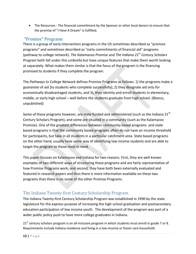• The Resources - The financial commitment by the Sponsor or other local donors to ensure that the promise of "I Have A Dream" is fulfilled;

#### <span id="page-12-0"></span>"Promise" Programs

There is a group of early intervention programs in the US sometimes described as "promise programs" and sometimes described as "early commitments of financial aid" programs (pathway to college network). *The Kalamazoo Promise* and *The Indiana 21st Century Scholars Program* both fall under this umbrella but have unique features that make them worth looking at separately. What makes them similar is that the focus of the program is the financing promised to students if they complete the program.

The *Pathways to College Network* defines Promise Programs as follows: 1) the programs make a *guarantee* of aid [to students who complete successfully]; 2) they designate aid only for economically disadvantaged students, and 3), they identity and enroll students in elementary, middle, or early high school – well before the students graduate from high school. (Blanco, unpublished)

Some of these programs however, are state funded and administered (such as the Indiana 21<sup>st</sup> Century Scholars Program), and some are situated in a community (such as the Kalamazoo Promise). One of the greatest differences between community based programs and state based programs is that the community based programs often do not have an income threshold for participants, but take in all students in a particular catchment area. State based programs on the other hand, usually have some way of identifying low income students and are able to target the program to those most in need.

This paper focuses on Kalamazoo and Indiana for two reasons. First, they are well known examples of two different ways of structuring these programs and are fairly representative of how Promise Programs work; and second, they have both been externally evaluated and featured in research papers and thus there is more information available on these two programs than there is on some of the other Promise Programs.

#### <span id="page-12-1"></span>The Indiana Twenty-first Century Scholarship Program

The Indiana Twenty-first Century Scholarship Program was established in 1990 by the state legislature for the express purpose of increasing the high school graduation and postsecondary education participation of low income youth. The development of the program was part of a wider public policy push to have more college graduates in Indiana.

 $21<sup>st</sup>$  century scholars program is an all-inclusive program in which students must enroll in grade 7 or 8. Requirements include Indiana residence and living in a low-income or foster care household.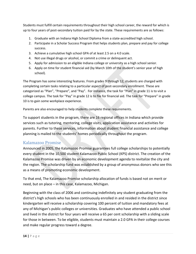Students must fulfill certain requirements throughout their high school career, the reward for which is up to four years of post-secondary tuition paid for by the state. These requirements are as follows:

- 1. Graduate with an Indiana High School Diploma from a state-accredited high school.
- 2. Participate in a [Scholar Success Program](http://www.in.gov/21stcenturyscholars/2510.htm) that helps students plan, prepare and pay for college success.
- 3. Achieve a cumulative high school GPA of at least 2.5 on a 4.0 scale.
- 4. Not use illegal drugs or alcohol, or commit a crime or delinquent act.
- 5. Apply for admission to an [eligible Indiana college or university](http://www.in.gov/21stcenturyscholars/2444.htm) as a high school senior.
- 6. Apply on time for student financial aid (by March 10th of the student's senior year of high school).

The Program has some interesting features. From grades 9 through 12, students are charged with completing certain tasks relating to a particular aspect of post-secondary enrollment. These are categorized as "Plan", "Prepare", and "Pay". For instance, the task for "Plan" in grade 11 is to visit a college campus. The task for "Pay" in grade 12 is to file for financial aid. The task for "Prepare" in grade 10 is to gain some workplace experience.

Parents are also encouraged to help students complete these requirements.

To support students in the program, there are 16 regional offices in Indiana which provide services such as tutoring, mentoring, college visits, application assistance and activities for parents. Further to these services, information about student financial assistance and college planning is mailed to the students' homes periodically throughout the program.

#### <span id="page-13-0"></span>Kalamazoo Promise

Announced in 2005, the Kalamazoo Promise guarantees full college scholarships to potentially every student in the 10,500 student Kalamazoo Public School (KPS) district. The creation of the Kalamazoo Promise was driven by an economic development agenda to revitalize the city and the region. The scholarship fund was established by a group of anonymous donors who see this as a means of promoting economic development.

To that end, The Kalamazoo Promise scholarship allocation of funds is based not on merit or need, but on place – in this case, Kalamazoo, Michigan.

Beginning with the class of 2006 and continuing indefinitely any student graduating from the district's high schools who has been continuously enrolled in and resided in the district since kindergarten will receive a scholarship covering 100 percent of tuition and mandatory fees at any of Michigan's public colleges or universities. Graduates who have attended a public school and lived in the district for four years will receive a 65 per cent scholarship with a sliding scale for those in between. To be eligible, students must maintain a 2.0 GPA in their college courses and make regular progress toward a degree.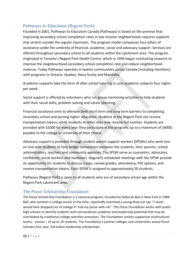#### <span id="page-14-0"></span>Pathways to Education (Regent Park)

Founded in 2001, Pathways to Education Canada (Pathways) is based on the premise that improving secondary school completion rates in low income neighborhoods requires supports that stretch outside the regular classroom. The program model compasses four pillars of assistance under the umbrella of financial, academic, social and advocacy support. Services are offered throughout secondary school to all students within the catchment area. The program originated in Toronto's Regent Park Health Centre, which in 1999 began conducting research to improve the neighbourhood secondary school completion rate and reduce neighborhood violence. Today Pathways operates in twelve communities across Canada (including Hamilton), with programs in Ontario, Quebec, Nova Scotia and Manitoba.

Academic supports take the form of after school tutoring in core academic subjects four nights per week.

Social support is offered by volunteers who run group mentoring activities to help students with their social skills, problem solving and career planning.

Financial assistance aims to alleviate both short term and long term barriers to completing secondary school and pursing higher education. Students at the Regent Park site receive transportation tokens, while students at other sites may receive hot lunches. Students are provided with \$1000 for every year they participate in the program, up to a maximum of \$4000, payable to the college or university of their choice.

Advocacy support is provided through student parent support workers (SPSWs) who work one on one with students to help bridge connections between the students, their parents, school administrators, teachers and community agencies. The SPSW serve as counselors, advocates, confidants, social workers and mediators. Regularly scheduled meetings with the SPSW provide an opportunity for students to discuss issues, review grades, attendance, PSE options, and receive transportation tokens. Each SPSW is assigned to approximately 50 students.

Pathways (Regent Park) is open to all students who are of secondary school age within the Regent Park catchment area.

#### <span id="page-14-1"></span>The Posse Scholarship Foundation

The Posse Scholarship Foundation is a national program, founded by Deborah Bial in New York in 1989. Bail, who worked in college access at the time, reportedly overhead a young drop out say: "I never would have dropped out of college if I had my posse with me". The Posse Foundation works with public high schools to identify students with extraordinary academic and leadership potential that may be overlooked by traditional college selection processes. The Foundation creates supportive multicultural teams – posses – of up to 10 students. The Foundation's partner colleges and universities award Posse Scholars four year, full tuition leadership scholarships.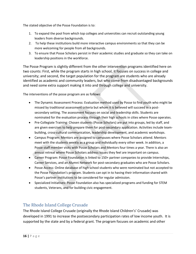The stated objective of the Posse Foundation is to:

- 1. To expand the pool from which top colleges and universities can recruit outstanding young leaders from diverse backgrounds.
- 2. To help these institutions build more interactive campus environments so that they can be more welcoming for people from all backgrounds.
- 3. To ensure that Posse Scholars persist in their academic studies and graduate so they can take on leadership positions in the workforce.

The Posse Program is slightly different from the other intervention programs identified here on two counts: First, while the program starts in high school, it focuses on success in college and university; and second, the target population for the program are students who are already identified as academic and community leaders, but who come from disadvantaged backgrounds and need some extra support making it into and through college and university.

The interventions of the posse program are as follows:

- The Dynamic Assessment Process: Evaluation method used by Posse to find youth who might be missed by traditional assessment criteria but whom it is believed will succeed in a postsecondary setting. The assessment focuses on social and leadership skills. Students are nominated for the evaluation process through their high schools in cities where Posse operates.
- Pre-Collegiate Training: Chosen students (Posse Scholars) are put into groups, led by staff, and are given exercises to help prepare them for post-secondary application. Activities include teambuilding, cross-cultural communication, leadership development, and academic workshops.
- Campus Program: Mentors are assigned to campuses where Posse Scholars attend. Mentors meet with the students weekly as a group and individually every other week. In addition, a Posse staff member visits with Posse Scholars and Mentors four times a year. There is also an annual retreat where Posse Scholars address issues they feel are important on campus.
- Career Program: Posse Foundation is linked to 150+ partner companies to provide Internships, Career Services, and an Alumni Network for post-secondary graduates who are Posse Scholars.
- Posse Access: Online database of high school students who were nominated but not accepted to the Posse Foundation's program. Students can opt in to having their information shared with Posse's partner institutions to be considered for regular admission.
- Specialized Initiatives: Posse Foundation also has specialized programs and funding for STEM students, Veterans, and for building civic engagement.

#### <span id="page-15-0"></span>The Rhode Island College Crusade

The Rhode Island College Crusade (originally the Rhode Island Children's' Crusade) was developed in 1991 to increase the postsecondary participation rates of low income youth. It is supported by the state and by a federal grant. The program focuses on academic and other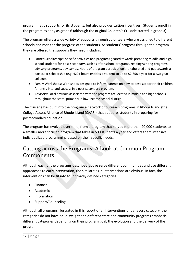programmatic supports for its students, but also provides tuition incentives. Students enroll in the program as early as grade 6 (although the original Children's Crusade started in grade 3).

The program offers a wide variety of supports through volunteers who are assigned to different schools and monitor the progress of the students. As students' progress through the program they are offered the supports they need including:

- Earned Scholarships: Specific activities and programs geared towards preparing middle and high school students for post-secondary, such as after school programs, reading/writing programs, advisory programs, day camps. Hours of program participation are tabulated and put towards a particular scholarship (e.g. 420+ hours entitles a student to up to \$2,858 a year for a two year college).
- Family Workshops: Workshops designed to inform parents on how to best support their children for entry into and success in a post-secondary program.
- Advisory: Local advisors associated with the program are located in middle and high schools throughout the state, primarily in low-income school district.

The Crusade has built into the program a network of outreach programs in Rhode Island (the College Access Alliance of Rhode Island (CAARI) that supports students in preparing for postsecondary education.

The program has evolved over time, from a program that served more than 20,000 students to a smaller more focused program that takes in 500 students a year and offers them intensive, individualized programming based on their specific needs.

### <span id="page-16-0"></span>Cutting across the Programs: A Look at Common Program Components

Although each of the programs described above serve different communities and use different approaches to early intervention, the similarities in interventions are obvious. In fact, the interventions can be fit into four broadly defined categories:

- Financial
- Academic
- Information
- Support/Counseling

Although all programs illustrated in this report offer interventions under every category, the categories do not have equal weight and different state and community programs emphasis different categories depending on their program goal, the evolution and the delivery of the program.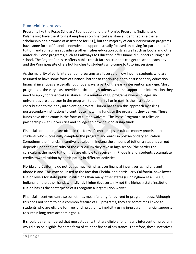#### <span id="page-17-0"></span>Financial Incentives

Programs like the Posse Scholars' Foundation and the Promise Programs (Indiana and Kalamazoo) have the strongest emphases on financial assistance (identified as either a scholarship or a promise of assistance for PSE), but the majority of early intervention programs have some form of financial incentive or support - usually focused on paying for part or all of tuition, and sometimes subsidizing other higher education costs as well such as books and other materials. Some programs, such as Pathways to Education offer financial supports during high school. The Regent Park site offers public transit fare so students can get to school each day and the Winnipeg site offers hot lunches to students who come to tutoring sessions.

As the majority of early intervention programs are focused on low income students who are assumed to have some form of financial barrier to continuing on to postsecondary education, financial incentives are usually, but not always, a part of the early intervention package. Most programs at the very least provide participating students with the support and information they need to apply for financial assistance. In a number of US programs where colleges and universities are a partner in the program, tuition, in full or in part, is the institutional contribution to the early intervention project. Florida has taken this approach by asking postsecondary institutions to contribute matching funds to the programs they deliver. These funds have often come in the form of tuition waivers. The Posse Program also relies on partnerships with universities and colleges to provide scholarship funds.

Financial components are often in the form of scholarships or tuition money promised to students who successfully complete the program and enroll in postsecondary education. Sometimes the financial incentive is scaled, in Indiana the amount of tuition a student can get depends upon the difficulty of the curriculum they take in high school (the harder the curriculum, the more tuition they are eligible to receive). In Rhode Island, students accumulate credits toward tuition by participating in different activities.

Florida and California do not put as much emphasis on financial incentives as Indiana and Rhode Island. This may be linked to the fact that Florida, and particularly California, have lower tuition levels for state public institutions than many other states (Cunningham et al., 2003). Indiana, on the other hand, with slightly higher (but certainly not the highest) state institution tuition has as the centerpiece of its program a large tuition waiver.

Financial incentives can also sometimes mean funding for current in-program needs. Although this does not seem to be a common feature of US programs, they are sometimes linked to students who are eligible for free lunch programs, implicitly using in-program financial supports to sustain long term academic goals.

It should be remembered that most students that are eligible for an early intervention program would also be eligible for some form of student financial assistance. Therefore, these incentives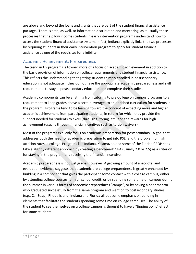are above and beyond the loans and grants that are part of the student financial assistance package. There is a tie, as well, to information distribution and mentoring, as it usually these processes that help low income students in early intervention programs understand how to access the student financial assistance system. In fact, Indiana explicitly links the two processes by requiring students in their early intervention program to apply for student financial assistance as one of the requisites for eligibility.

#### <span id="page-18-0"></span>Academic Achievement/Preparedness

The trend in US programs is toward more of a focus on academic achievement in addition to the basic provision of information on college requirements and student financial assistance. This reflects the understanding that getting students simply enrolled in postsecondary education is not adequate if they do not have the appropriate academic preparedness and skill requirements to stay in postsecondary education and complete their studies.

Academic components can be anything from tutoring to pre-college on campus programs to a requirement to keep grades above a certain average, to an enriched curriculum for students in the program. Programs tend to be leaning toward the concept of expecting more and higher academic achievement from participating students, in return for which they provide the support needed for students to excel (through tutoring, etc) and the rewards for high achievement (usually through financial incentives such as tuition waivers).

Most of the programs explicitly focus on academic preparation for postsecondary. A goal that addresses both the need for academic preparation to get into PSE, and the problem of high attrition rates in college. Programs like Indiana, Kalamazoo and some of the Florida CROP sites take a slightly different approach by creating a benchmark GPA (usually 2.0 or 2.5) as a criterion for staying in the program and receiving the financial incentive.

Academic preparedness is not just grades however. A growing amount of anecdotal and evaluation evidence suggests that academic pre-college preparedness is greatly enhanced by building in a component that gives the participant some contact with a college campus, either by attending college courses for high school credit, or by spending some time on campus during the summer in various forms of academic preparedness "camps", or by having a peer mentor who graduated successfully from the same program and went on to postsecondary studies (e.g., Cal-Soap). Rhode Island, Indiana and Florida all put some emphasis on building in elements that facilitate the students spending some time on college campuses. The ability of the student to see themselves on a college campus is thought to have a "tipping point" effect for some students.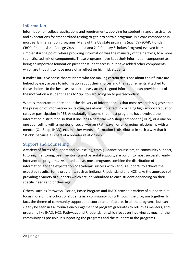#### <span id="page-19-0"></span>Information

Information on college applications and requirements, applying for student financial assistance and expectations for standardized testing to get into certain programs, is a core component in most early intervention programs. Many of the US state programs (e.g., Cal-SOAP, Florida CROP, Rhode Island College Crusade, Indiana 21<sup>st</sup> Century Scholars Program) evolved from a simpler starting point, where providing information was the mainstay of their efforts, to a more sophisticated mix of components. These programs have kept their information component as being an important foundation piece for student access, but have added other components which are thought to have more of an effect on high risk students.

It makes intuitive sense that students who are making certain decisions about their future are helped by easy access to information about their choices and the requirements attached to those choices. In the best case scenario, easy access to good information can provide part of the motivation a student needs to "tip" toward going on to postsecondary.

What is important to note about the delivery of information, is that most research suggests that the prevision of information on its own, has almost no effect in changing high school graduation rates or participation in PSE. Anecdotally, it seems that most programs have evolved their information distribution so that it includes a parental workshop component ( HCZ), or a one on one counselling with a mentor or social worker (Pathways), or an ongoing relationship with a mentor (Cal-Soap, IHAD), etc. In other words, information is distributed in such a way that it "sticks" because it is part of a broader relationship.

#### <span id="page-19-1"></span>Support and Counseling

A variety of forms of support and counseling, from guidance counselors, to community support, tutoring, mentoring, peer mentoring and parental support, are built into most successful early intervention programs. As noted above, most programs combine the distribution of information and the expectation of academic success with various supports to achieve the expected results. Some programs, such as Indiana, Rhode Island and HCZ, take the approach of providing a variety of supports which are individualized to each student depending on their specific needs and or their age.

Others, such as Pathways, Florida, Posse Program and IHAD, provide a variety of supports but focus more on the cohort of students as a community going through the program together. In fact, the theme of community support and coordination features in all the programs, but can clearly be seen in California's encouragement of program graduates to return as mentors, and programs like IHAD, HCZ, Pathways and Rhode Island, which focus on involving as much of the community as possible in supporting the programs and the students in the programs.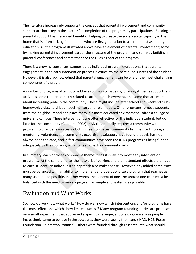The literature increasingly supports the concept that parental involvement and community support are both key to the successful completion of the program by participations. Building in parental support has the added benefit of helping to create the social capital capacity in the home that is often lacking for students who are first generation to aspire to postsecondary education. All the programs illustrated above have an element of parental involvement; some by making parental involvement part of the structure of the program, and some by building in parental conferences and commitment to the rules as part of the program.

There is a growing consensus, supported by individual program evaluations, that parental engagement in the early intervention process is critical to the continued success of the student. However, it is also acknowledged that parental engagement can be one of the most challenging components of a program.

A number of programs attempt to address community issues by offering students supports and activities some that are directly related to academic achievement, and some that are more about increasing pride in the community. These might include after school and weekend clubs, homework clubs, neighbourhood mentors and role models. Other programs remove students from the neighbourhood and place them in a more educated environment - often a college or university campus. These interventions are often effective for the individual student, but do little for the community (Gandara, 2002) IHAD theoretically requires a community with a program to provide resources including meeting spaces, community facilities for tutoring and mentoring, volunteers and community expertise- evaluators have found that this has not always been the case, and in fact communities have seen the IHAD programs as being funded adequately by the sponsors, with no need of extra community help.

In summary, each of these component themes finds its way into most early intervention programs. At the same time, as the network of barriers and their attendant effects are unique to each student, an individualized approach also makes sense. However, any added complexity must be balanced with an ability to implement and operationalize a program that reaches as many students as possible. In other words, the concept of one arm around one child must be balanced with the need to make a program as simple and systemic as possible.

# <span id="page-20-0"></span>Evaluation and What Works

So, how do we know what works? How do we know which interventions and/or programs have the most effect and which show limited success? Many program founding stories are premised on a small experiment that addressed a specific challenge, and grew organically as people increasingly came to believe in the successes they were seeing first hand (IHAD, HCZ, Posse Foundation, Kalamazoo Promise). Others were founded through research into what should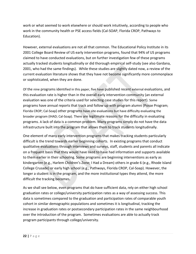work or what seemed to work elsewhere or should work intuitively, according to people who work in the community health or PSE access fields (Cal-SOAP, Florida CROP, Pathways to Education).

However, external evaluations are not all that common. The Educational Policy Institute in its 2001 College Board Review of US early intervention programs, found that 94% of US programs claimed to have conducted evaluations, but on further investigation few of these programs actually tracked students longitudinally or did thorough empirical self-study (see also Gardana, 2001, who had the same findings). While these studies are slightly dated now, a review of the current evaluation literature shows that they have not become significantly more commonplace or sophisticated, when they are done.

Of the nine programs identified in this paper, five have published recent external evaluations, and this evaluation rate is higher than in the overall early intervention community (an external evaluation was one of the criteria used for selecting case studies for this report). Some programs have annual reports that track and follow up with program alumni (Posse Program; Florida CROP; Cal-Soap) other programs have site evaluations but have difficulty evaluating the broader program (IHAD; Cal-Soap). There are legitimate reasons for the difficulty in evaluating programs. A lack of data is a common problem. Many programs simply do not have the data infrastructure built into the program that allows them to track students longitudinally.

One element of many early intervention programs that makes tracking students particularly difficult is the trend towards earlier beginning cohorts. In existing programs that conduct qualitative evaluations through interviews and surveys, staff, students and parents all indicate on a frequent basis that they would have liked to have had information and supports available to them earlier in their schooling. Some programs are beginning interventions as early as kindergarten (e.g., Harlem Children's Zone; I Had a Dream) others in grade 6 (e.g., Rhode Island College Crusade) or early high school (e.g., Pathways, Florida CROP, Cal-Soap). However, the longer a student is in the program, and the more institutional types they attend, the more difficult the tracking becomes.

As we shall see below, even programs that do have sufficient data, rely on either high school graduation rates or college/university participation rates as a way of assessing success. This data is sometimes compared to the graduation and participation rates of comparable youth cohort in similar demographic populations and sometimes it is longitudinal, tracking the increase in graduation rates or postsecondary participation rates in the same neighbourhood over the introduction of the program. Sometimes evaluations are able to actually track program participants through college/university.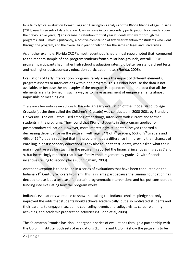In a fairly typical evaluation format, Fogg and Harrington's analysis of the Rhode Island College Crusade (2013) uses three sets of data to show 1) an increase in postsecondary participation for crusaders over the previous five years; 2) an increase in retention for first year students who went through the programs; and 3) most significantly, a positive comparison of first year retention for students who went through the program, and the overall first year population for the same colleges and universities.

As another example, Florida CROP's most recent published annual report noted that: compared to the random sample of non-program students from similar backgrounds, overall, CROP program participants had higher high school graduation rates, did better on standardized tests, and had higher postsecondary education participation rates (Florida, 2006).

Evaluations of Early Intervention programs rarely assess the impact of different elements, program aspects or interventions within one program. This is either because the data is not available, or because the philosophy of the program is dependent upon the idea that all the elements are intertwined in such a way as to make assessment of unique elements almost impossible or meaningless.

There are a few notable exceptions to this rule. An early evaluation of the Rhode Island College Crusade (at the time called the Children's' Crusade) was conducted in 2000-2001 by Brandeis University. The evaluators used among other things, interviews with current and former students in the programs. They found that 89% of students in the program applied for postsecondary education**.** However, more interestingly, students surveyed reported a decreasing dependence on the program with age (84% of  $7<sup>th</sup>$  graders, 65% of 9<sup>th</sup> graders and 46% of 12<sup>th</sup> graders reported that the program made a difference in improving their chances of enrolling in postsecondary education). They also found that students, when asked what their main incentive was for staying in the program, reported the financial incentives in grades 7 and 9, but increasingly reported that it was family encouragement by grade 12, with financial incentives falling to second place (Cunningham, 2003).

Another exception is to be found in a series of evaluations that have been conducted on the Indiana  $21<sup>st</sup>$  Century Scholars Program. This is in large part because the Lumina Foundation has decided to use it as a test case for certain programmatic interventions and has put considerable funding into evaluating how the program works.

Indiana's evaluations were able to show that taking the Indiana scholars' pledge not only improved the odds that students would achieve academically, but also motivated students and their parents to engage in academic counseling, events and college visits, career planning activities, and academic preparation activities (St. John et al, 2008).

The Kalamazoo Promise has also undergone a series of evaluations through a partnership with the Upjohn Institute. Both sets of evaluations (Lumina and UpJohn) show the programs to be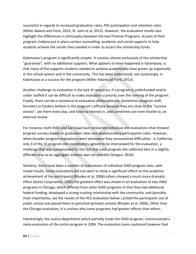successful in regards to increased graduation rates, PSE participation and retention rates (Miller-Adams and Fiore, 2013; St. John et al, 2013). However, the evaluation results also highlight the differences in philosophy between the two Promise Programs. As part of their program, Indiana put in place various counselling, academic and social supports to help students achieve the results they needed in order to access the scholarship funds.

Kalamazoo's program is significantly simpler. It consists almost exclusively of the scholarship "guarantee", with no additional supports. What appears to have happened in Kalamazoo, is that many of the supports students needed to achieve academically have grown up organically in the school system and in the community. This has been understood, not surprisingly, in Kalamazoo as a success for the program (Miller-Adams ad Fiore, 2013).

Another challenge to evaluation is the lack of resources; if a program is underfunded and/or under staffed it can be difficult to make evaluation a priority over the running of the program. Finally, there can be a resistance to evaluation philosophically. Sometimes program staff, founders or funders believe in the program's efficacy because they are close to the "success stories", see them every day, and have no interest in, and sometimes are even hostile to, an external review.

For instance, both IHAD and Cal-Soap have conducted individual site evaluations that showed program success based on graduation rates and postsecondary participation rates. However, when broader program evaluations were attempted they encountered difficulties. In California, only 3 of the 15 program site coordinators agreed to be interviewed for the evaluation, a challenge that was compounded by the fact that each program site collected data in a slightly different way so an aggregate analysis was not possible (Songco, 2010).

Similarly, there have been a number of evaluations of individual IHAD program sites, with mixed results. Some evaluations did not seem to show a significant effect on the academic achievement of the participants (Rhodes et al, 2006) others showed a much more dramatic effect (Arete Corporation, 2001) the greatest effect was shown in an evaluation of two IHAD programs in Chicago, which differed from other IHAD programs in that they had additional federal funding, developed a strong trusting relationship with the community, and (possibly most importantly, see the results of the HCZ evaluation below ) pulled the participants out of public school and placed them in parochial (private) schools (Rhodes et al, 2006). Other than the Chicago evaluation, it is unclear why some programs had greater effects than others.

Interestingly, the Justice department which partially funds the IHAD program, commissioned a meta-evaluation of the entire program in 2006. The evaluation team cautioned however that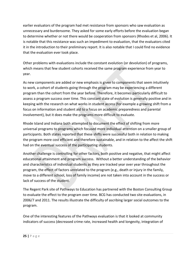earlier evaluators of the program had met resistance from sponsors who saw evaluation as unnecessary and burdensome. They asked for some early efforts before the evaluation began to determine whether or not there would be cooperation from sponsors (Rhodes et al, 2006). It is notable that this resistance was such an impediment to evaluation, that the evaluators cited it in the introduction to their preliminary report. It is also notable that I could find no evidence that the evaluation ever took place.

Other problems with evaluations include the constant evolution (or devolution) of programs, which means that few student cohorts received the same program experience from year to year.

As new components are added or new emphasis is given to components that seem intuitively to work, a cohort of students going through the program may be experiencing a different program than the cohort from the year before. Therefore, it becomes particularly difficult to assess a program success over time. This constant state of evolution is generally positive and in keeping with the research on what works in student access (for example a growing shift from a focus on information and student aid to a focus on academic preparedness and parental involvement), but it does make the programs more difficult to evaluate.

Rhode Island and Indiana both attempted to document the effect of shifting from more universal programs to programs which focused more individual attention on a smaller group of participants. Both states reported that these shifts were successful both in relation to making the program more cost efficient and therefore sustainable, and in relation to the affect the shift had on the eventual success of the participating students.

Another challenge is controlling for other factors, both positive and negative, that might affect educational attainment and program success. Without a better understanding of the behavior and characteristics of individual students as they are tracked year over year throughout the program, the effect of factors unrelated to the program (e.g., death or injury in the family, move to a different school, loss of family income) are not taken into account in the success or lack of success of the student.

The Regent Park site of Pathways to Education has partnered with the Boston Consulting Group to evaluate the effect to the program over time. BCG has conducted two site evaluations, in 2006/7 and 2011. The results illustrate the difficulty of ascribing larger social outcomes to the program.

One of the interesting features of the Pathways evaluation is that it looked at community indicators of success (decreased crime rate, increased health and longevity, integration of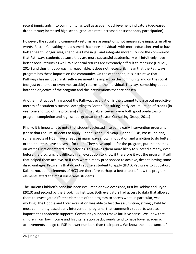recent immigrants into community) as well as academic achievement indicators (decreased dropout rate; increased high school graduate rate; increased postsecondary participation).

However, the social and community returns are assumptions, not measurable impacts. in other words, Boston Consulting has assumed that since individuals with more education tend to have better health, longer lives, spend less time in jail and integrate more fully into the community, that Pathways students because they are more successful academically will intuitively have better social returns as well. While social returns are extremely difficult to measure (DeClou, 2014) and thus this approach is reasonable, it does not necessarily mean that the Pathways program has these impacts on the community. On the other hand, it is instructive that Pathways has included in its self-assessment the impact on the community and on the social (not just economic or even measurable) returns to the individual. This says something about both the objective of the program and the interventions that are chosen.

Another instructive thing about the Pathways evaluation is the attempt to parse out predictive metrics of a student's success. According to Boston Consulting, early accumulation of credits (in year one and two of the program) and limited absenteeism were both good predictors of program completion and high school graduation (Boston Consulting Group, 2011)

Finally, it is important to note that students selected into some early intervention programs (those that require students to apply: Rhode Island, Cal-Soap, Florida CROP, Posse, Indiana, some aspects of HCZ) have already in many ways shown motivation and ambition to do better, or their parents have chosen it for them. They have applied for the program, put their names on waiting lists or entered into lotteries. This makes them more likely to succeed already, even before the program. It is difficult in an evaluation to know if therefore it was the program itself that helped them achieve, or if they were already predisposed to achieve, despite having some disadvantages. Programs that do not require a student to apply (IHAD, Pathways to Education, Kalamazoo, some elements of HCZ) are therefore perhaps a better test of how the program elements affect the most vulnerable students.

The Harlem Children's Zone has been evaluated on two occasions, first by Dobbie and Fryer (2013) and second by the Brookings Institute. Both evaluators had access to data that allowed them to investigate different elements of the program to access what, in particular, was working. The Dobbie and Fryer evaluation was able to test the assumption, strongly held by most community based early intervention programs, that community supports were as important as academic supports. Community supports make intuitive sense. We know that children from low income and first generation backgrounds tend to have lower academic achievements and go to PSE in lower numbers than their peers. We know the importance of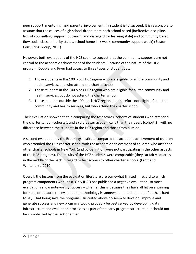peer support, mentoring, and parental involvement if a student is to succeed. It is reasonable to assume that the causes of high school dropout are both school based (ineffective discipline, lack of counselling, support, outreach, and disregard for learning style) and community based (low social class, minority status, school home link weak, community support weak) (Boston Consulting Group, 2011).

However, both evaluations of the HCZ seem to suggest that the community supports are not central to the academic achievement of the students. Because of the nature of the HCZ program, Dobbie and Fryer had access to three types of student data:

- 1. Those students in the 100 block HCZ region who are eligible for all the community and health services, and who attend the charter school;
- 2. Those students in the 100 block HCZ region who are eligible for all the community and health services, but do not attend the charter school;
- 3. Those students outside the 100 block HCZ region and therefore not eligible for all the community and health services, but who attend the charter school.

Their evaluation showed that in comparing the test scores, cohorts of students who attended the charter school (cohorts 1 and 3) did better academically than their peers (cohort 2), with no difference between the students in the HCZ region and those from outside.

A second evaluation by the Brookings Institute compared the academic achievement of children who attended the HCZ charter school with the academic achievement of children who attended other charter schools in New York (and by definition were not participating in the other aspects of the HCZ program). The results of the HCZ students were comparable (they sat fairly squarely in the middle of the pack in regard to test scores) to other charter schools. (Croft and Whitehurst, 2010)

Overall, the lessons from the evaluation literature are somewhat limited in regard to which program components work best. Only IHAD has published a negative evaluation, so most evaluations show noteworthy success – whether this is because they have all hit on a winning formula, or because the evaluation methodology is somewhat limited, or a bit of both, is hard to say. That being said, the programs illustrated above do seem to develop, improve and generate success and new programs would probably be best served by developing data infrastructure and evaluation processes as part of the early program structure, but should not be immobilized by the lack of either.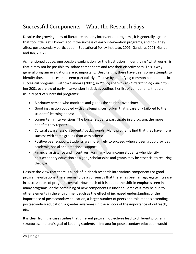# <span id="page-27-0"></span>Successful Components – What the Research Says

Despite the growing body of literature on early intervention programs, it is generally agreed that too little is still known about the success of early intervention programs, and how they affect postsecondary participation (Educational Policy Institute, 2001; Gandara, 2001; Gullat and Jan, 2007).

As mentioned above, one possible explanation for the frustration in identifying "what works" is that it may not be possible to isolate components and test their effectiveness. This is why general program evaluations are so important. Despite this, there have been some attempts to identify those practices that seem particularly effective by identifying common components in successful programs. Patricia Gandara (2001), in *Paving the Way to Understanding Education*, her 2001 overview of early intervention initiatives outlines her list of components that are usually part of successful programs:

- A primary person who monitors and guides the student over time;
- Good instruction coupled with challenging curriculum that is carefully tailored to the students' learning needs;
- Longer term interventions. The longer students participate in a program, the more benefits they report;
- Cultural awareness of students' backgrounds. Many programs find that they have more success with some groups than with others;
- Positive peer support. Students are more likely to succeed when a peer group provides academic, social and emotional support;
- Financial assistance and incentives. For many low income students who identify postsecondary education as a goal, scholarships and grants may be essential to realizing that goal.

Despite the view that there is a lack of in-depth research into various components or good program evaluations, there seems to be a consensus that there has been an aggregate increase in success rates of programs overall. How much of it is due to the shift in emphasis seen in many programs, or the combining of new components is unclear. Some of it may be due to other elements in the environment such as the effect of increased understanding of the importance of postsecondary education, a larger number of peers and role models attending postsecondary education, a greater awareness in the schools of the importance of outreach, etc.

It is clear from the case studies that different program objectives lead to different program structures. Indiana's goal of keeping students in Indiana for postsecondary education would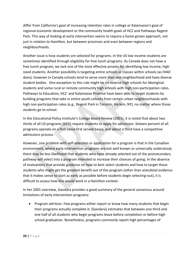differ from California's goal of increasing retention rates in college or Kalamazoo's goal of regional economic development or the community health goals of HCZ and Pathways Regent Park. This way of looking at early intervention seems to require a home grown approach, not just in relation to Hamilton, but between provinces and even between regions and neighbourhoods.

Another issue is how students are selected for programs. In the US low income students are sometimes identified through eligibility for free lunch programs. As Canada does not have a free lunch program, we lack one of the most effective proxies for identifying low income, high need students. Another possibility is targeting entire schools or classes within schools (as IHAD does), however in Canada schools tend to serve more than one neighborhood and have diverse student bodies. One exception to this rule might be on reserve high schools for Aboriginal students and some rural or remote community high schools with high non-participation rates. Pathways to Education, HCZ and Kalamazoo Promise have been able to target students by building programs that take in entire youth cohorts from certain urban neighbourhoods with high non-participation rates (e.g., Regent Park in Toronto, Harlem, NY), no matter where those students go to school.

In the Educational Policy Institute's College Board Review (2001), it is noted that about two thirds of all US programs (66%) require students to apply for admission. Sixteen percent of all programs operate on a first come first served bases, and about a third have a competitive admissions process.

However, one problem with self-selection or application for a program is that in the Canadian environment, where early intervention programs are not well known or universally understood, there may be less likelihood that students who have already selected out of the postsecondary pathway will select into a program intended to increase their chances of going. In the absence of evaluations that provide guidance on how to best select students and how to target those students who might get the greatest benefit out of the program (other than anecdotal evidence that it makes sense to start as early as possible before students begin selecting-out), it is difficult to assess how this would work in a Hamilton context.

In her 2001 overview, Gandara provides a good summary of the general consensus around limitations of early intervention programs:

• Program attrition. Few programs either report or know how many students that begin their programs actually complete it. [Gandara] estimates that between one third and one half of all students who begin programs leave before completion or before high school graduation. Nonetheless, programs commonly report high percentages of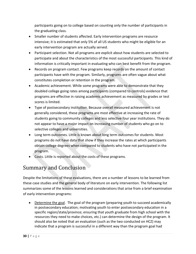participants going on to college based on counting only the number of participants in the graduating class.

- Smaller number of students affected. Early intervention programs are resource intensive; it is estimated that only 5% of all US students who might be eligible for an early intervention program are actually served.
- Participant selection. Not all programs are explicit about how students are selected to participate and about the characteristics of the most successful participants. This kind of information is critically important in evaluating who can best benefit from the program.
- Records on program contact. Few programs keep records on the amount of contact participants have with the program. Similarly, programs are often vague about what constitutes completion or retention in the program.
- Academic achievement. While some programs were able to demonstrate that they doubled college going rates among participants (compared to controls) evidence that programs are effective in raising academic achievement as measured by grades or test scores is limited.
- Type of postsecondary institution. Because overall measured achievement is not generally considered, these programs are most effective at increasing the rate of students going to community colleges and less selective four year institutions. They do not appear to have a major impact on increasing number of students who go on to selective colleges and universities.
- Long term outcomes. Little is known about long term outcomes for students. Most programs do not have data that show if they increase the rates at which participants obtain college degrees when compared to students who have not participated in the program.
- Costs. Little is reported about the costs of these programs.

### <span id="page-29-0"></span>Summary and Conclusion

Despite the limitations of these evaluations, there are a number of lessons to be learned from these case studies and the general body of literature on early intervention. The following list summarizes some of the lessons learned and considerations that arise from a brief examination of early intervention programs:

• Determine the goal. The goal of the program (preparing youth to succeed academically in postsecondary education; motivating youth to enter postsecondary education in a specific region/state/province; ensuring that youth graduate from high school with the resources they need to make choices, etc.) can determine the design of the program. It should also be noted that an evaluation (such as the two conducted on HCZ) may indicate that a program is successful in a different way than the program goal had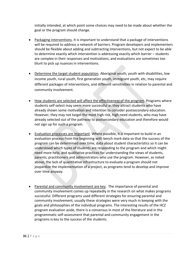initially intended, at which point some choices may need to be made about whether the goal or the program should change.

- Packaging interventions. It is important to understand that a package of interventions will be required to address a network of barriers. Program developers and implementers should be flexible about adding and subtracting interventions, but not expect to be able to determine exactly which intervention is addressing exactly which barrier – students are complex in their responses and motivations, and evaluations are sometimes too blunt to pick up nuances in interventions.
- Determine the target student population. Aboriginal youth, youth with disabilities, low income youth, rural youth, first generation youth, immigrant youth, etc, may require different packages of interventions, and different sensitivities in relation to parental and community involvement.
- How students are selected will affect the effectiveness of the program. Programs where students self-select may seem more successful as they attract students who have already shown some motivation and intention to consider postsecondary education. However, they may not target the most high risk, high need students, who may have already selected out of the pathway to postsecondary education and therefore would not sign up for such a program.
- Evaluation processes are important. Where possible, it is important to build in an evaluation process from the beginning with bench mark data so that the success of the program can be determined over time, data about student characteristics so it can be understood which types of students are responding to the program and which might need more help, and qualitative practices for understanding the views of students, parents, practitioners and administrators who use the program. However, as noted above, the lack of quantitative infrastructure to evaluate a program should not jeopardize the implementation of a project, as programs tend to develop and improve over time anyway.
- Parental and community involvement are key. The importance of parental and community involvement comes up repeatedly in the research on what makes programs successful. Different programs used different strategies for ensuring parental and community involvement, usually these strategies were very much in keeping with the goals and philosophies of the individual programs. The interesting results of the HCZ program evaluation aside, there is a consensus in most of the literature and in the programmatic self-assessment that parental and community engagement in the programs is key to the success of the students.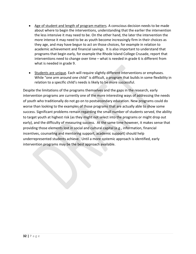- Age of student and length of program matters. A conscious decision needs to be made about where to begin the interventions, understanding that the earlier the intervention the less intensive it may need to be. On the other hand, the later the intervention the more intense it may need to be as youth become increasingly firm in their choices as they age, and may have begun to act on those choices, for example in relation to academic achievement and financial savings. It is also important to understand that programs that begin early, for example the Rhode Island College Crusade, report that interventions need to change over time – what is needed in grade 6 is different from what is needed in grade 9.
- Students are unique. Each will require slightly different interventions or emphases. While "one arm around one child" is difficult, a program that builds in some flexibility in relation to a specific child's needs is likely to be more successful.

Despite the limitations of the programs themselves and the gaps in the research, early intervention programs are currently one of the more interesting ways of addressing the needs of youth who traditionally do not go on to postsecondary education. New programs could do worse than looking to the examples of those programs that are actually able to show some success. Significant problems remain regarding the small number of students served, the ability to target youth at highest risk (as they might not select into the programs or might drop out early), and the difficulty of measuring success. At the same time however, it makes sense that providing those elements lost in social and cultural capital (e.g., information, financial incentives, counseling and mentoring support, academic support) should help underrepresented students achieve. Until a more systemic approach is identified, early intervention programs may be the best approach available.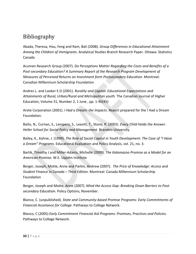### <span id="page-32-0"></span>Bibliography

Abada, Theresa, Hou, Feng and Ram, Bali (2008). *Group Differences in Educational Attainment Among the Children of Immigrants*. Analytical Studies Branch Research Paper. Ottawa: Statistics Canada

Acumen Research Group (2007). *Do Perceptions Matter Regarding the Costs and Benefits of a Post-secondary Education? A Summary Report of the Research Program Development of Measures of Perceived Returns on Investment form Postsecondary Education*. Montreal: Canadian Millennium Scholarship Foundation

Andres L. and Looker E.D (2001). *Rurality and Capital: Educational Expectations and Attainments of Rural, Urban/Rural and Metropolitan youth.* The Canadian Journal of Higher Education, Volume 31, Number 2, 1 June , pp. 1-45(45)

Arete Corporation (2001). *I Had a Dream: the Impacts*. Report prepared for the I Had a Dream Foundation.

Bailis, N., Curnan, S., Lanspery, S., Leavitt, T., Stone, R. (2002). *Every Child Holds the Answer. Heller School for Social Policy and Management*. Brandeis University.

Bailey, K., Kahne, J. (1999). *The Role of Social Capital in Youth Development: The Case of "I Have a Dream" Programs*. Educational Evaluation and Policy Analysis, vol. 21, no. 3.

Bartik, Timothy J and Miller-Adams, Michelle (2009). *The Kalamazoo Promise as a Model for an American Promise*. W.E. Upjohn Institute

Berger, Joseph, Motte, Anne and Parkin, Andrew (2007). *The Price of Knowledge: Access and Student Finance in Canada – Third Edition*. Montreal: Canada Millennium Scholarship Foundation

Berger, Joseph and Motte, Anne (2007). *Mind the Access Gap: Breaking Down Barriers to Postsecondary Education.* Policy Options, November.

Blanco, C. (unpublished). *State and Community-based Promise Programs: Early Commitments of Financial Assistance for College*. Pathways to College Network.

Blanco, C (2005) *Early Commitment Financial Aid Programs: Promises, Practices and Policies*. Pathways to College Network.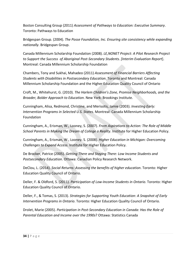Boston Consulting Group (2011) *Assessment of Pathways to Education: Executive Summary*. Toronto: Pathways to Education

Bridgespan Group. (2004). *The Posse Foundation, Inc. Ensuring site consistency while expanding nationally*. Bridgespan Group.

Canada Millennium Scholarship Foundation (2008). *LE,NONET Project: A Pilot Research Project to Support the Success of Aboriginal Post-Secondary Students. [Interim Evaluation Report*]. Montreal: Canada Millennium Scholarship Foundation

Chambers, Tony and Sukhai, Mahadeo (2011) *Assessment of Financial Barriers Affecting Students with Disabilities in Postsecondary Education*. Toronto and Montreal: Canada Millennium Scholarship Foundation and the Higher Education Quality Council of Ontario

Croft, M., Whitehurst, G. (2010). *The Harlem Children's Zone, Promise Neighborhoods, and the Broader, Bolder Approach to Education*. New York: Brookings Institute.

Cunningham, Alisa, Redmond, Christine, and Merisotis, Jamie (2003). *Investing Early: Intervention Programs in Selected U.S. States*. Montreal: Canada Millennium Scholarship Foundation

Cunningham, A., Erisman, W., Looney, S. (2007). *From Aspirations to Action: The Role of Middle School Parents in Making the Dream of College a Reality*. Institute for Higher Education Policy.

Cunningham, A., Erisman, W., Looney, S. (2008). *Higher Education in Michigan: Overcoming Challenges to Expand Access.* Institute for Higher Education Policy.

De Brocker, Patrice (2005). *Getting There and Staying There: Low Income Students and Postsecondary Education*. Ottawa: Canadian Policy Research Network.

DeClou, L. (2014). *Social Returns: Assessing the benefits of higher education*. Toronto: Higher Education Quality Council of Ontario.

Deller, F. & Oldford, S. (2011). *Participation of Low-Income Students in Ontario*. Toronto: Higher Education Quality Council of Ontario.

Deller, F., & Tomas, S. (2013). *Strategies for Supporting Youth Education: A Snapshot of Early Intervention Programs in Ontario*. Toronto: Higher Education Quality Council of Ontario.

Drolet, Marie (2005). *Participation in Post-Secondary Education in Canada: Has the Role of Parental Education and Income over the 1990s*? Ottawa: Statistics Canada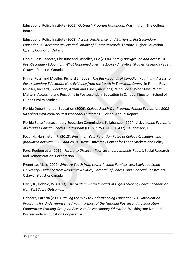Educational Policy Institute (2001). *Outreach Program Handbook*. Washington: The College Board.

Educational Policy Institute (2008). *Access, Persistence, and Barriers in Postsecondary Education: A Literature Review and Outline of Future Research*. Toronto: Higher Education Quality Council of Ontario

Finnie, Ross, Laporte, Christine and Lascelles, Eric (2004). *Family Background and Access To Post-Secondary Education: What Happened over the 1990s?* Analytical Studies Research Paper. Ottawa: Statistics Canada

Finnie, Ross, and Mueller, Richard E. (2008). *The Backgrounds of Canadian Youth and Access to Post-secondary Education: New Evidence from the Youth in Transition Survey*, in Finnie, Ross, Mueller, Richard, Sweetman, Arthur and Usher, Alex (eds). Who Goes? Who Stays? What Matters: Accessing and Persisting in Postsecondary Education in Canada. Kingston: School of Queens Policy Studies

Florida Department of Education (2006). *College Reach-Out Program Annual Evaluation: 2003- 04 Cohort with 2004-05 Postsecondary Outcomes* . Florida: Annual Report

Florida State Postsecondary Education Commission, Tallahassee. (1994). *A Statewide Evaluation of Florida's College Reach-Out Program* (ED 382 753, UD 030 437). Tallahassee, FL.

Fogg, N., Harrington, P. (2013). *Freshman-Year Retention Rates of College Crusaders who graduated between 2006 and 2010*. Drexel University Center for Labor Markets and Policy.

Ford, Rueben et al (2012). *Future to Discover: Post-secondary Impacts Report*. Social Research and Demonstration Corporation

Frenettte, Marc (2007) *Why Are Youth from Lower-income Families Less Likely to Attend University? Evidence from Academic Abilities, Parental Influences, and Financial Constraints*. Ottawa: Statistics Canada

Fryer, R., Dobbie, W. (2013). *The Medium-Term Impacts of High-Achieving Charter Schools on Non-Test Score Outcomes*.

Gandara, Patricia (2001). *Paving the Way to Understanding Education: k-12 Intervention Programs for Underrepresented Youth. Report of the National Postsecondary Education Cooperative Working Group on Access to Postsecondary Education*. Washington: National Postsecondary Education Cooperative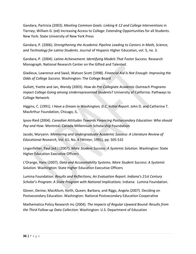Gandara, Partricia (2003). *Meeting Common Goals: Linking K-12 and College Interventions* in Tierney, William G. (ed) Increasing Access to College: Extending Opportunities for all Students. New York: State University of New York Press

Gandara, P. (2006). *Strengthening the Academic Pipeline Leading to Careers in Math, Science, and Technology for Latino Students*. Journal of Hispanic Higher Education, vol. 5, no. 3.

Gandara, P. (2004). *Latino Achievement: Identifying Models That Foster Success*. Research Monograph. National Research Center on the Gifted and Talented.

Gladieux, Lawrence and Swail, Watson Scott (1998). *Financial Aid Is Not Enough: Improving the Odds of College Success*. Washington: The College Board

Gullatt, Yvette and Jan, Wendy (2003). *How do Pre-Collegiate Academic Outreach Programs impact College Going among Underrepresented Students*? University of California: Pathways to College Network.

Higgins, C. (1991). *I Have a Dream in Washington, D.C. Initial Report*. John D. and Catherine T. MacArthur Foundation, Chicago, IL.

Ipsos-Ried (2004). *Canadian Attitudes Towards Financing Postsecondary Education: Who should Pay and How*. Montreal: Canada Millennium Scholarship Foundation

Jacobi, Maryann. *Mentoring and Undergraduate Academic Success: A Literature Review of Educational Research*, Vol. 61, No. 4 (Winter, 1991), pp. 505-532

Lingenfelter, Paul (ed.) (2007). *More Student Success: A Systemic Solution*. Washington: State Higher Education Executive Officers

L'Orange, Hans (2007). *Data and Accountability Systems. More Student Success: A Systemic Solution.* Washington: State Higher Education Executive Officers

Lumina Foundation. *Results and Reflections, An Evaluation Report. Indiana's 21st Century Scholar's Program: A State Program with National Implications*. Indiana: Lumina Foundation.

Glover, Denise, MacAllum, Keith, Queen, Barbara, and Riggs, Angela (2007). Deciding on Postsecondary Education. Washington: National Postsecondary Education Cooperative

Mathematica Policy Research Inc (2004). *The Impacts of Regular Upward Bound: Results from the Third Follow-up Data Collection*. Washington: U.S. Department of Education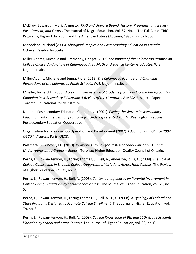McElroy, Edward J., Maria Armesto. *TRIO and Upward Bound: History, Programs, and Issues-Past, Present, and Future.* The Journal of Negro Education, Vol. 67, No. 4, The Full Circle: TRIO Programs, Higher Education, and the American Future (Autumn, 1998), pp. 373-380

Mendelson, Michael (2006). *Aboriginal Peoples and Postsecondary Education in Canada*. Ottawa: Caledon Institute

Miller-Adams, Michelle and Timmeney, Bridget (2013) *The Impact of the Kalamazoo Promise on College Choice: An Analysis of Kalamazoo Area Math and Science Center Graduates*. W.E. Upjohn Institute

Miller-Adams, Michelle and Jenna, Fiore (2013) *The Kalamazoo Promise and Changing Perceptions of the Kalamazoo Public Schools*. W.E. Upjohn Institute

Mueller, Richard E. (2008). *Access and Persistence of Students from Low Income Backgrounds in Canadian Post-Secondary Education: A Review of the Literature*. A MESA Research Paper. Toronto: Educational Policy Institute

National Postsecondary Education Cooperative (2001). *Paving the Way to Postsecondary Education: K-12 Intervention programs for Underrepresented Youth*. Washington: National Postsecondary Education Cooperative

Organization for Economic Co-Operation and Development (2007). *Education at a Glance 2007*: *OECD Indicators*. Paris: OECD.

Palameta, B. & Voyer, J.P. (2010). *Willingness to pay for Post-secondary Education Among Under-represented Groups – Report*. Toronto: Higher Education Quality Council of Ontario.

Perna, L., Rowan-Kenyon, H., Loring Thomas, S., Bell, A., Anderson, R., Li, C. (2008). *The Role of College Counselling in Shaping College Opportunity: Variations Across High Schools*. The Review of Higher Education, vol. 31, no. 2.

Perna, L., Rowan-Kenyon, H., Bell, A. (2008). *Contextual Influences on Parental Involvement in College Going: Variations by Socioeconomic Clas*s. The Journal of Higher Education, vol. 79, no. 5.

Perna, L., Rowan-Kenyon, H., Loring Thomas, S., Bell, A., Li, C. (2008). *A Typology of Federal and State Programs Designed to Promote College Enrollment.* The Journal of Higher Education, vol. 79, no. 3.

Perna, L., Rowan-Kenyon, H., Bell, A. (2009). *College Knowledge of 9th and 11th Grade Students: Variation by School and State Context*. The Journal of Higher Education, vol. 80, no. 6.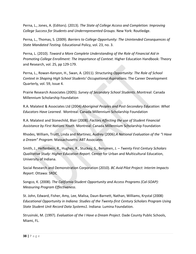Perna, L., Jones, A. (Editors). (2013). *The State of College Access and Completion: Improving College Success for Students and Underrepresented Groups*. New York: Routledge.

Perna, L., Thomas, S. (2009). *Barriers to College Opportunity: The Unintended Consequences of State Mandated Testing*. Educational Policy, vol. 23, no. 3.

Perna, L. (2010). *Toward a More Complete Understanding of the Role of Financial Aid in Promoting College Enrollment: The Importance of Context*. Higher Education Handbook: Theory and Research, vol. 25, pp 129-179.

Perna, L., Rowan-Kenyon, H., Swan, A. (2011). *Structuring Opportunity: The Role of School Context in Shaping High School Students' Occupational Aspirations*. The Career Development Quarterly, vol. 59, Issue 4.

Prairie Research Associates (2005). *Survey of Secondary School Students*. Montreal: Canada Millennium Scholarship Foundation

R.A. Malatest & Associates Ltd (2004) *Aboriginal Peoples and Post-Secondary Education: What Educators Have Learned*. Montreal: Canada Millennium Scholarship Foundation

R.A. Malatest and Stonechild, Blair (2008). *Factors Affecting the use of Student Financial Assistance by First Nations Youth*. Montreal: Canada Millennium Scholarship Foundation

Rhodes, William, Truitt, Linda and Martinez, Audrey (2006).*A National Evaluation of the "I Have a Dream" Program*. Massachusetts: ABT Associates

Smith, J., Helfenbein, R., Hughes, R., Stuckey, S., Berumen, J. – *Twenty First Century Scholars Qualitative Study: Higher Education Report*. Center for Urban and Multicultural Education, University of Indiana.

Social Research and Demonstration Corporation (2010). *BC Avid Pilot Project: Interim Impacts Report*. Ottawa: SRDC

Songco, K. (2008). *The California Student Opportunity and Access Programs (Cal-SOAP): Measuring Program Effectiveness*.

St. John, Edward, Fisher, Amy, Lee, Malisa, Daun-Barnett, Nathan, Williams, Krystal (2008) *Educational Opportunity in Indiana: Studies of the Twenty-first Century Scholars Program Using State Student Unit Record Data Systems1*. Indiana: Lumina Foundation.

Strusinski, M. (1997). *Evaluation of the I Have a Dream Project*. Dade County Public Schools, Miami, FL.